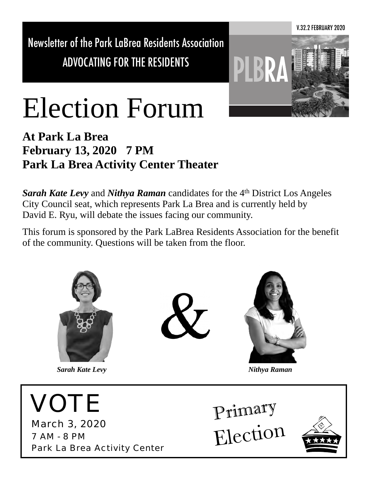Newsletter of the Park LaBrea Residents Association ADVOCATING FOR THE RESIDENTS



# Election Forum

**At Park La Brea February 13, 2020 7 PM Park La Brea Activity Center Theater**

*Sarah Kate Levy* and *Nithya Raman* candidates for the 4th District Los Angeles City Council seat, which represents Park La Brea and is currently held by David E. Ryu, will debate the issues facing our community.

This forum is sponsored by the Park LaBrea Residents Association for the benefit of the community. Questions will be taken from the floor.

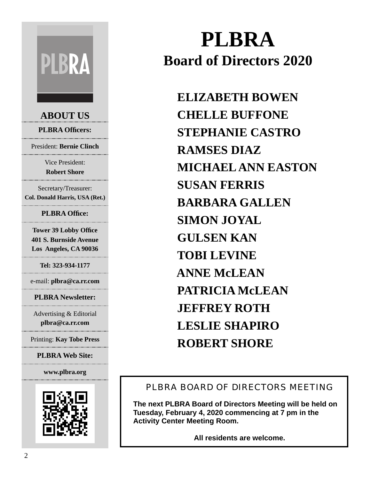# **PLBRA**

#### **ABOUT US**

**PLBRA Officers:**

President: **Bernie Clinch**

Vice President: **Robert Shore** 

Secretary/Treasurer: **Col. Donald Harris, USA (Ret.)**

#### **PLBRA Office:**

**Tower 39 Lobby Office 401 S. Burnside Avenue Los Angeles, CA 90036**

**Tel: 323-934-1177**

e-mail: **plbra@ca.rr.com**

**PLBRA Newsletter:**

Advertising & Editorial **plbra@ca.rr.com** 

Printing: **Kay Tobe Press**

**PLBRA Web Site:**

**www.plbra.org**



## **PLBRA Board of Directors 2020**

 **ELIZABETH BOWEN CHELLE BUFFONE STEPHANIE CASTRO RAMSES DIAZ MICHAEL ANN EASTON SUSAN FERRIS BARBARA GALLEN SIMON JOYAL GULSEN KAN TOBI LEVINE ANNE McLEAN PATRICIA McLEAN JEFFREY ROTH LESLIE SHAPIRO ROBERT SHORE**

#### PLBRA BOARD OF DIRECTORS MEETING

**The next PLBRA Board of Directors Meeting will be held on Tuesday, February 4, 2020 commencing at 7 pm in the Activity Center Meeting Room.**

**All residents are welcome.**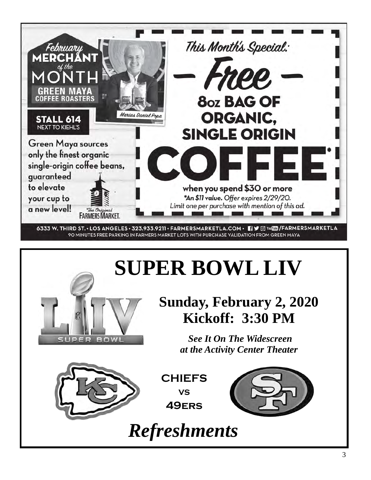

## **SUPER BOWL LIV**



*See It On The Widescreen at the Activity Center Theater*



**CHIEFS VS 49ers**



*Refreshments*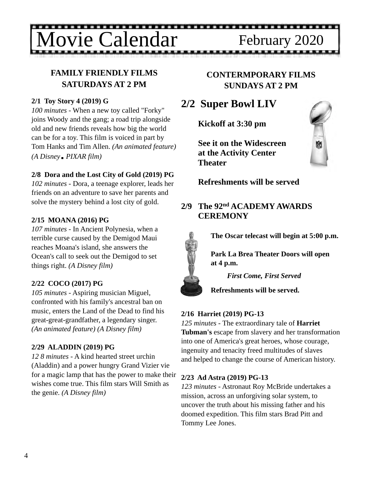ovie Calendar February 2020

#### **FAMILY FRIENDLY FILMS SATURDAYS AT 2 PM**

#### **2/1 Toy Story 4 (2019) G**

*100 minutes* - When a new toy called "Forky" joins Woody and the gang; a road trip alongside old and new friends reveals how big the world can be for a toy. This film is voiced in part by Tom Hanks and Tim Allen. *(An animated feature) (A Disney PIXAR film)*

#### **2/8 Dora and the Lost City of Gold (2019) PG**

*102 minutes* - Dora, a teenage explorer, leads her friends on an adventure to save her parents and solve the mystery behind a lost city of gold.

#### **2/15 MOANA (2016) PG**

*107 minutes* - In Ancient Polynesia, when a terrible curse caused by the Demigod Maui reaches Moana's island, she answers the Ocean's call to seek out the Demigod to set things right. *(A Disney film)*

#### **2/22 COCO (2017) PG**

*105 minutes* - Aspiring musician Miguel, confronted with his family's ancestral ban on music, enters the Land of the Dead to find his great-great-grandfather, a legendary singer. *(An animated feature) (A Disney film)*

#### **2/29 ALADDIN (2019) PG**

*12 8 minutes* - A kind hearted street urchin (Aladdin) and a power hungry Grand Vizier vie for a magic lamp that has the power to make their wishes come true. This film stars Will Smith as the genie. *(A Disney film)*

#### **CONTERMPORARY FILMS SUNDAYS AT 2 PM**

#### **2/2 Super Bowl LIV**

**Kickoff at 3:30 pm**

 **See it on the Widescreen at the Activity Center Theater**



 **Refreshments will be served**

#### **2/9 The 92nd ACADEMY AWARDS CEREMONY**



**The Oscar telecast will begin at 5:00 p.m.** 

**Park La Brea Theater Doors will open at 4 p.m.** 

*First Come, First Served*



#### **2/16 Harriet (2019) PG-13**

*125 minutes* - The extraordinary tale of **Harriet Tubman's** escape from slavery and her transformation into one of America's great heroes, whose courage, ingenuity and tenacity freed multitudes of slaves and helped to change the course of American history.

#### **2/23 Ad Astra (2019) PG-13**

*123 minutes* - Astronaut Roy McBride undertakes a mission, across an unforgiving solar system, to uncover the truth about his missing father and his doomed expedition. This film stars Brad Pitt and Tommy Lee Jones.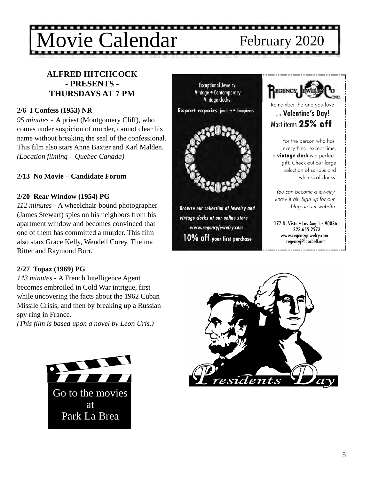### ............. alendar February 2020

#### **ALFRED HITCHCOCK - PRESENTS - THURSDAYS AT 7 PM**

#### **2/6 I Confess (1953) NR**

*95 minutes -* A priest (Montgomery Cliff), who comes under suspicion of murder, cannot clear his name without breaking the seal of the confessional. This film also stars Anne Baxter and Karl Malden. *(Location filming – Quebec Canada)*

#### **2/13 No Movie – Candidate Forum**

#### **2/20 Rear Window (1954) PG**

*112 minutes -* A wheelchair-bound photographer (James Stewart) spies on his neighbors from his apartment window and becomes convinced that one of them has committed a murder. This film also stars Grace Kelly, Wendell Corey, Thelma Ritter and Raymond Burr.

#### **2/27 Topaz (1969) PG**

*143 minutes -* A French Intelligence Agent becomes embroiled in Cold War intrigue, first while uncovering the facts about the 1962 Cuban Missile Crisis, and then by breaking up a Russian spy ring in France.

*(This film is based upon a novel by Leon Uris.)*



**Exceptional Jewelry** Vintage . Contemporary Vintage clocks

**Expert repairs: jevelry . timepieces** 



**Browse our collection of jewelry and** vintage clocks at our online store www.regencyjewelry.com 10% off your first purchase



Remember the one you love on Valentine's Day! Most items 25% off

For the person who has everything, except time, a vintage clock is a perfect gift. Check out our large selection of serious and whimsical clocks.

You can become a jewelry know-it-all. Sign up for our blog on our website.

177 N. Vista . Los Angeles 90036 323.655.2573 www.regencyjewelry.com regencyj@pacbell.net

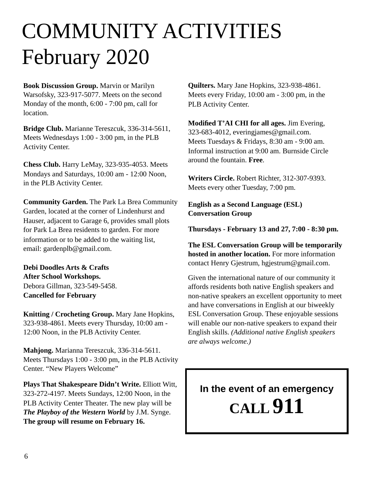## COMMUNITY ACTIVITIES February 2020

**Book Discussion Group.** Marvin or Marilyn Warsofsky, 323-917-5077. Meets on the second Monday of the month, 6:00 - 7:00 pm, call for location.

**Bridge Club.** Marianne Tereszcuk, 336-314-5611, Meets Wednesdays 1:00 - 3:00 pm, in the PLB Activity Center.

**Chess Club.** Harry LeMay, 323-935-4053. Meets Mondays and Saturdays, 10:00 am - 12:00 Noon, in the PLB Activity Center.

**Community Garden.** The Park La Brea Community Garden, located at the corner of Lindenhurst and Hauser, adjacent to Garage 6, provides small plots for Park La Brea residents to garden. For more information or to be added to the waiting list, email: [gardenplb@gmail.com.](mailto:gardenplb@gmail.com)

**Debi Doodles Arts & Crafts After School Workshops.**  Debora Gillman, 323-549-5458. **Cancelled for February**

**Knitting / Crocheting Group.** Mary Jane Hopkins, 323-938-4861. Meets every Thursday, 10:00 am - 12:00 Noon, in the PLB Activity Center.

**Mahjong.** Marianna Tereszcuk, 336-314-5611. Meets Thursdays 1:00 - 3:00 pm, in the PLB Activity Center. "New Players Welcome"

**Plays That Shakespeare Didn't Write.** Elliott Witt, 323-272-4197. Meets Sundays, 12:00 Noon, in the PLB Activity Center Theater. The new play will be *The Playboy of the Western World* by J.M. Synge. **The group will resume on February 16.**

**Quilters.** Mary Jane Hopkins, 323-938-4861. Meets every Friday, 10:00 am - 3:00 pm, in the PLB Activity Center.

**Modified T'AI CHI for all ages.** Jim Evering, 323-683-4012, everingjames@gmail.com. Meets Tuesdays & Fridays, 8:30 am - 9:00 am. Informal instruction at 9:00 am. Burnside Circle around the fountain. **Free**.

**Writers Circle.** Robert Richter, 312-307-9393. Meets every other Tuesday, 7:00 pm.

**English as a Second Language (ESL) Conversation Group**

**Thursdays - February 13 and 27, 7:00 - 8:30 pm.**

**The ESL Conversation Group will be temporarily hosted in another location.** For more information contact Henry Gjestrum, hgjestrum@gmail.com.

Given the international nature of our community it affords residents both native English speakers and non-native speakers an excellent opportunity to meet and have conversations in English at our biweekly ESL Conversation Group. These enjoyable sessions will enable our non-native speakers to expand their English skills. *(Additional native English speakers are always welcome.)* 

### **In the event of an emergency CALL 911**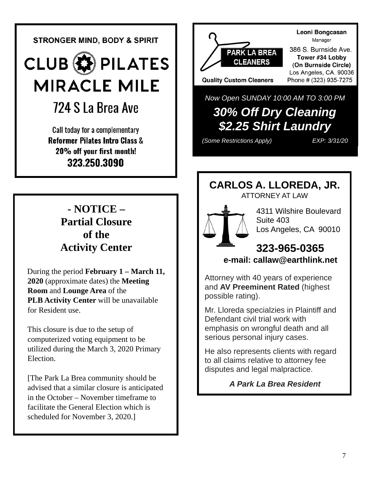**STRONGER MIND, BODY & SPIRIT** 

**CLUB B** PILATES **MIRACLE MILE** 

### 724 S La Brea Ave

Call today for a complementary **Reformer Pilates Intro Class &** 20% off your first month! 323.250.3090

#### **- NOTICE – Partial Closure of the Activity Center**

 During the period **February 1 – March 11, 2020** (approximate dates) the **Meeting Room** and **Lounge Area** of the  **PLB Activity Center** will be unavailable for Resident use.

 This closure is due to the setup of computerized voting equipment to be utilized during the March 3, 2020 Primary Election.

 [The Park La Brea community should be advised that a similar closure is anticipated in the October – November timeframe to facilitate the General Election which is scheduled for November 3, 2020.]



*Now Open SUNDAY 10:00 AM TO 3:00 PM*

### *30% Off Dry Cleaning \$2.25 Shirt Laundry*

*(Some Restrictions Apply) EXP: 3/31/20*

#### **CARLOS A. LLOREDA, JR.** ATTORNEY AT LAW





4311 Wilshire Boulevard Suite 403 Los Angeles, CA 90010

#### **323-965-0365  [e-mail: callaw@earthlink.net](mailto:callaw@earthlink.net)**

Attorney with 40 years of experience and **AV Preeminent Rated** (highest possible rating).

Mr. Lloreda specialzies in Plaintiff and Defendant civil trial work with emphasis on wrongful death and all serious personal injury cases.

He also represents clients with regard to all claims relative to attorney fee disputes and legal malpractice.

*A Park La Brea Resident*